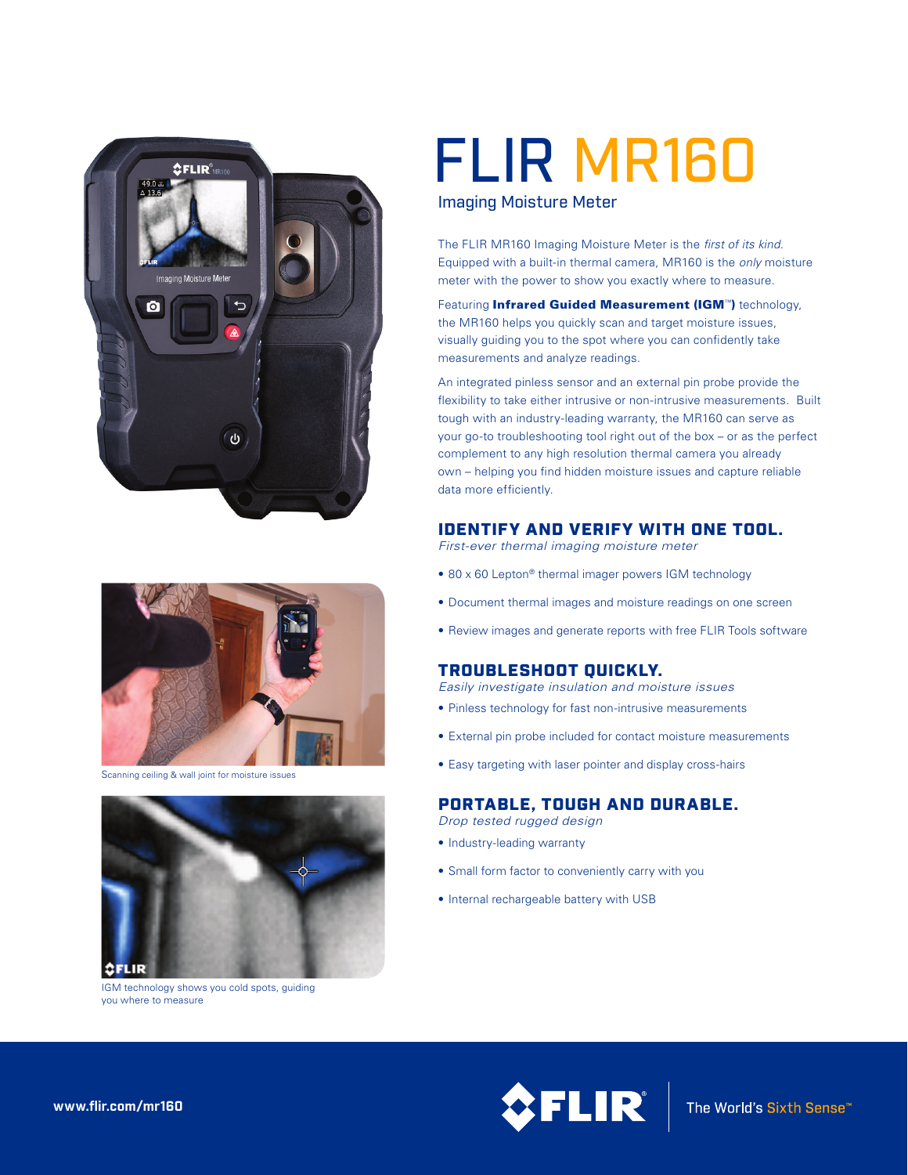



Scanning ceiling & wall joint for moisture issues



IGM technology shows you cold spots, guiding you where to measure

# FLIR MR160

#### Imaging Moisture Meter

The FLIR MR160 Imaging Moisture Meter is the *first of its kind*. Equipped with a built-in thermal camera, MR160 is the *only* moisture meter with the power to show you exactly where to measure.

Featuring Infrared Guided Measurement (IGM™) technology, the MR160 helps you quickly scan and target moisture issues, visually guiding you to the spot where you can confidently take measurements and analyze readings.

An integrated pinless sensor and an external pin probe provide the flexibility to take either intrusive or non-intrusive measurements. Built tough with an industry-leading warranty, the MR160 can serve as your go-to troubleshooting tool right out of the box – or as the perfect complement to any high resolution thermal camera you already own – helping you find hidden moisture issues and capture reliable data more efficiently.

### IDENTIFY AND VERIFY WITH ONE TOOL.

*First-ever thermal imaging moisture meter*

- 80 x 60 Lepton® thermal imager powers IGM technology
- Document thermal images and moisture readings on one screen
- Review images and generate reports with free FLIR Tools software

### TROUBLESHOOT QUICKLY.

*Easily investigate insulation and moisture issues*

- Pinless technology for fast non-intrusive measurements
- External pin probe included for contact moisture measurements
- Easy targeting with laser pointer and display cross-hairs

## PORTABLE, TOUGH AND DURABLE.

*Drop tested rugged design*

- Industry-leading warranty
- Small form factor to conveniently carry with you
- Internal rechargeable battery with USB